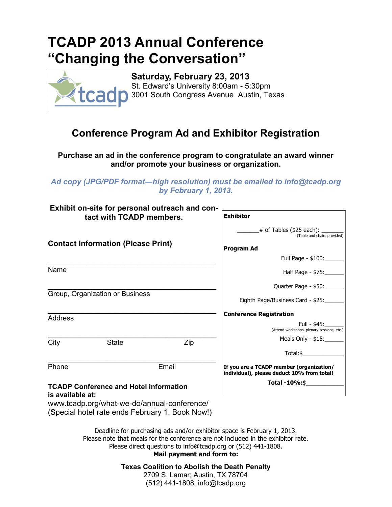## **TCADP 2013 Annual Conference "Changing the Conversation"**



**Saturday, February 23, 2013** St. Edward's University 8:00am - 5:30pm 3001 South Congress Avenue Austin, Texas

## **Conference Program Ad and Exhibitor Registration**

**Purchase an ad in the conference program to congratulate an award winner and/or promote your business or organization.**

*Ad copy (JPG/PDF format—high resolution) must be emailed to info@tcadp.org by February 1, 2013.* 

| Exhibit on-site for personal outreach and con-<br>tact with TCADP members. |                                               |               | <b>Exhibitor</b>                                                                       |
|----------------------------------------------------------------------------|-----------------------------------------------|---------------|----------------------------------------------------------------------------------------|
| <b>Contact Information (Please Print)</b>                                  |                                               |               | $#$ of Tables (\$25 each): $\_\_$<br>(Table and chairs provided)                       |
|                                                                            |                                               |               | <b>Program Ad</b>                                                                      |
|                                                                            |                                               |               | Full Page - \$100:                                                                     |
| Name                                                                       |                                               |               | Half Page - \$75:                                                                      |
| Group, Organization or Business                                            |                                               |               | Quarter Page - \$50:                                                                   |
|                                                                            |                                               |               | Eighth Page/Business Card - \$25:                                                      |
| <b>Address</b>                                                             |                                               |               | <b>Conference Registration</b>                                                         |
|                                                                            |                                               |               | Full - \$45:<br>(Attend workshops, plenary sessions, etc.)                             |
| City                                                                       | <b>State</b>                                  | Zip           | Meals Only - \$15:                                                                     |
|                                                                            |                                               |               | Total:\$                                                                               |
| Phone<br>Email                                                             |                                               |               | If you are a TCADP member (organization/<br>individual), please deduct 10% from total! |
| ia availahla atu                                                           | <b>TCADP Conference and Hotel information</b> | Total -10%:\$ |                                                                                        |

## **is available at:**

www.tcadp.org/what-we-do/annual-conference/ (Special hotel rate ends February 1. Book Now!)

> Deadline for purchasing ads and/or exhibitor space is February 1, 2013. Please note that meals for the conference are not included in the exhibitor rate. Please direct questions to info@tcadp.org or (512) 441-1808.

**Mail payment and form to:**

**Texas Coalition to Abolish the Death Penalty**

2709 S. Lamar; Austin, TX 78704 (512) 441-1808, info@tcadp.org